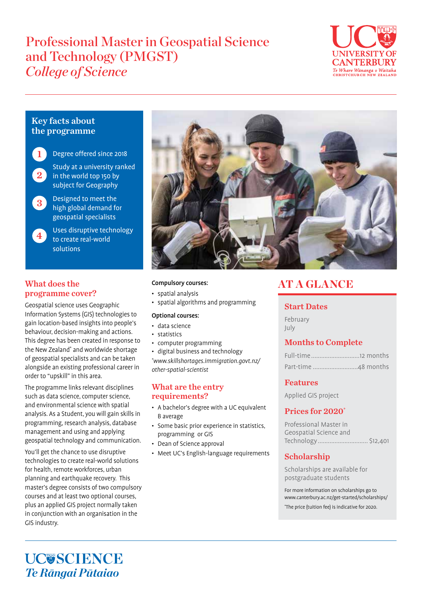# Professional Master in Geospatial Science and Technology (PMGST) *College of Science*



# Key facts about the programme



Degree offered since 2018



Study at a university ranked in the world top 150 by subject for Geography

Designed to meet the high global demand for geospatial specialists 3

#### Uses disruptive technology to create real-world solutions 4

# What does the programme cover?

Geospatial science uses Geographic Information Systems (GIS) technologies to gain location-based insights into people's behaviour, decision-making and actions. This degree has been created in response to the New Zealand\* and worldwide shortage of geospatial specialists and can be taken alongside an existing professional career in order to "upskill" in this area.

The programme links relevant disciplines such as data science, computer science, and environmental science with spatial analysis. As a Student, you will gain skills in programming, research analysis, database management and using and applying geospatial technology and communication.

You'll get the chance to use disruptive technologies to create real-world solutions for health, remote workforces, urban planning and earthquake recovery. This master's degree consists of two compulsory courses and at least two optional courses, plus an applied GIS project normally taken in conjunction with an organisation in the GIS industry.



### Compulsory courses:

- spatial analysis
- spatial algorithms and programming

#### Optional courses:

- data science
- statistics
- computer programming
- digital business and technology

\* www.skillshortages.immigration.govt.nz/ other-spatial-scientist

## What are the entry requirements?

- A bachelor's degree with a UC equivalent B average
- Some basic prior experience in statistics, programming or GIS
- Dean of Science approval
- Meet UC's English-language requirements

# AT A GLANCE

# Start Dates

February July

# Months to Complete

# Features

Applied GIS project

# Prices for 2020\*

| Professional Master in |
|------------------------|
| Geospatial Science and |
|                        |

# Scholarship

Scholarships are available for postgraduate students

For more information on scholarships go to www.canterbury.ac.nz/get-started/scholarships/ \* The price (tuition fee) is indicative for 2020.

**UC@SCIENCE** *Te Rāngai Pūtaiao*